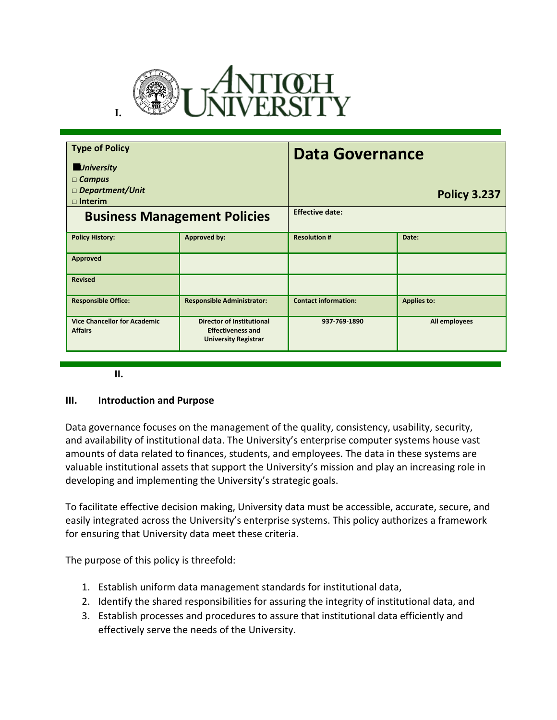

| <b>Type of Policy</b><br><b>University</b><br>$\Box$ Campus<br>$\Box$ Department/Unit<br>$\Box$ Interim |                                                                                             | <b>Data Governance</b>      | <b>Policy 3.237</b> |
|---------------------------------------------------------------------------------------------------------|---------------------------------------------------------------------------------------------|-----------------------------|---------------------|
| <b>Business Management Policies</b>                                                                     |                                                                                             | <b>Effective date:</b>      |                     |
| <b>Policy History:</b>                                                                                  | <b>Approved by:</b>                                                                         | <b>Resolution #</b>         | Date:               |
| Approved                                                                                                |                                                                                             |                             |                     |
| <b>Revised</b>                                                                                          |                                                                                             |                             |                     |
| <b>Responsible Office:</b>                                                                              | <b>Responsible Administrator:</b>                                                           | <b>Contact information:</b> | <b>Applies to:</b>  |
| <b>Vice Chancellor for Academic</b><br><b>Affairs</b>                                                   | <b>Director of Institutional</b><br><b>Effectiveness and</b><br><b>University Registrar</b> | 937-769-1890                | All employees       |

**II.**

### **III. Introduction and Purpose**

Data governance focuses on the management of the quality, consistency, usability, security, and availability of institutional data. The University's enterprise computer systems house vast amounts of data related to finances, students, and employees. The data in these systems are valuable institutional assets that support the University's mission and play an increasing role in developing and implementing the University's strategic goals.

To facilitate effective decision making, University data must be accessible, accurate, secure, and easily integrated across the University's enterprise systems. This policy authorizes a framework for ensuring that University data meet these criteria.

The purpose of this policy is threefold:

- 1. Establish uniform data management standards for institutional data,
- 2. Identify the shared responsibilities for assuring the integrity of institutional data, and
- 3. Establish processes and procedures to assure that institutional data efficiently and effectively serve the needs of the University.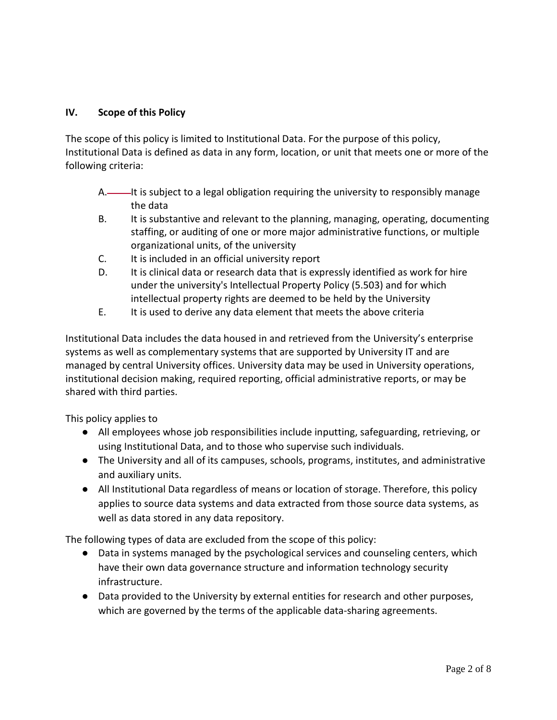## **IV. Scope of this Policy**

The scope of this policy is limited to Institutional Data. For the purpose of this policy, Institutional Data is defined as data in any form, location, or unit that meets one or more of the following criteria:

- A.——It is subject to a legal obligation requiring the university to responsibly manage the data
- B. It is substantive and relevant to the planning, managing, operating, documenting staffing, or auditing of one or more major administrative functions, or multiple organizational units, of the university
- C. It is included in an official university report
- D. It is clinical data or research data that is expressly identified as work for hire under the university's Intellectual Property Policy (5.503) and for which intellectual property rights are deemed to be held by the University
- E. It is used to derive any data element that meets the above criteria

Institutional Data includes the data housed in and retrieved from the University's enterprise systems as well as complementary systems that are supported by University IT and are managed by central University offices. University data may be used in University operations, institutional decision making, required reporting, official administrative reports, or may be shared with third parties.

This policy applies to

- All employees whose job responsibilities include inputting, safeguarding, retrieving, or using Institutional Data, and to those who supervise such individuals.
- The University and all of its campuses, schools, programs, institutes, and administrative and auxiliary units.
- All Institutional Data regardless of means or location of storage. Therefore, this policy applies to source data systems and data extracted from those source data systems, as well as data stored in any data repository.

The following types of data are excluded from the scope of this policy:

- Data in systems managed by the psychological services and counseling centers, which have their own data governance structure and information technology security infrastructure.
- Data provided to the University by external entities for research and other purposes, which are governed by the terms of the applicable data-sharing agreements.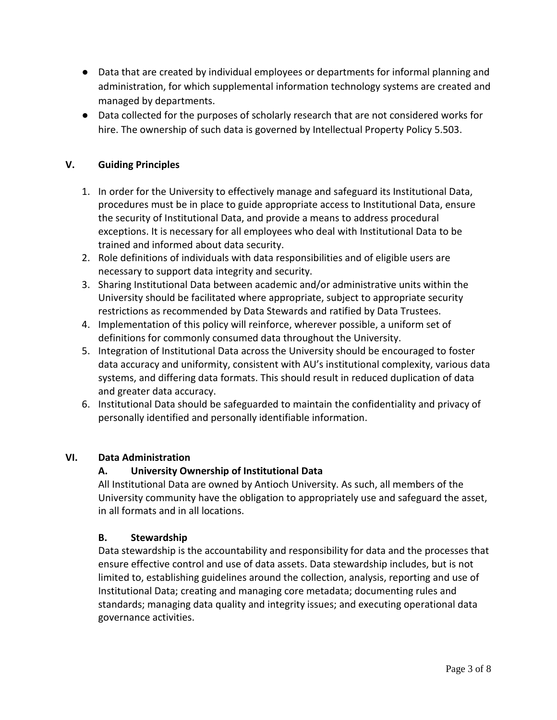- Data that are created by individual employees or departments for informal planning and administration, for which supplemental information technology systems are created and managed by departments.
- Data collected for the purposes of scholarly research that are not considered works for hire. The ownership of such data is governed by Intellectual Property Policy 5.503.

## **V. Guiding Principles**

- 1. In order for the University to effectively manage and safeguard its Institutional Data, procedures must be in place to guide appropriate access to Institutional Data, ensure the security of Institutional Data, and provide a means to address procedural exceptions. It is necessary for all employees who deal with Institutional Data to be trained and informed about data security.
- 2. Role definitions of individuals with data responsibilities and of eligible users are necessary to support data integrity and security.
- 3. Sharing Institutional Data between academic and/or administrative units within the University should be facilitated where appropriate, subject to appropriate security restrictions as recommended by Data Stewards and ratified by Data Trustees.
- 4. Implementation of this policy will reinforce, wherever possible, a uniform set of definitions for commonly consumed data throughout the University.
- 5. Integration of Institutional Data across the University should be encouraged to foster data accuracy and uniformity, consistent with AU's institutional complexity, various data systems, and differing data formats. This should result in reduced duplication of data and greater data accuracy.
- 6. Institutional Data should be safeguarded to maintain the confidentiality and privacy of personally identified and personally identifiable information.

## **VI. Data Administration**

## **A. University Ownership of Institutional Data**

All Institutional Data are owned by Antioch University. As such, all members of the University community have the obligation to appropriately use and safeguard the asset, in all formats and in all locations.

### **B. Stewardship**

Data stewardship is the accountability and responsibility for data and the processes that ensure effective control and use of data assets. Data stewardship includes, but is not limited to, establishing guidelines around the collection, analysis, reporting and use of Institutional Data; creating and managing core metadata; documenting rules and standards; managing data quality and integrity issues; and executing operational data governance activities.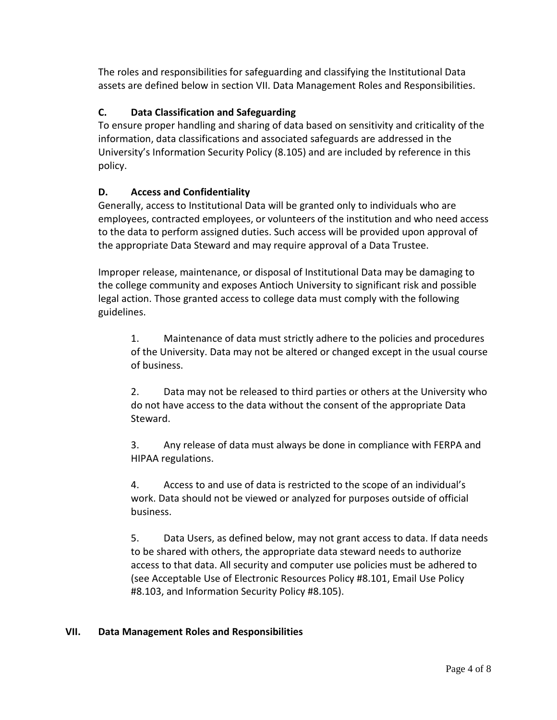The roles and responsibilities for safeguarding and classifying the Institutional Data assets are defined below in section VII. Data Management Roles and Responsibilities.

# **C. Data Classification and Safeguarding**

To ensure proper handling and sharing of data based on sensitivity and criticality of the information, data classifications and associated safeguards are addressed in the University's Information Security Policy (8.105) and are included by reference in this policy.

# **D. Access and Confidentiality**

Generally, access to Institutional Data will be granted only to individuals who are employees, contracted employees, or volunteers of the institution and who need access to the data to perform assigned duties. Such access will be provided upon approval of the appropriate Data Steward and may require approval of a Data Trustee.

Improper release, maintenance, or disposal of Institutional Data may be damaging to the college community and exposes Antioch University to significant risk and possible legal action. Those granted access to college data must comply with the following guidelines.

1. Maintenance of data must strictly adhere to the policies and procedures of the University. Data may not be altered or changed except in the usual course of business.

2. Data may not be released to third parties or others at the University who do not have access to the data without the consent of the appropriate Data Steward.

3. Any release of data must always be done in compliance with FERPA and HIPAA regulations.

4. Access to and use of data is restricted to the scope of an individual's work. Data should not be viewed or analyzed for purposes outside of official business.

5. Data Users, as defined below, may not grant access to data. If data needs to be shared with others, the appropriate data steward needs to authorize access to that data. All security and computer use policies must be adhered to (see Acceptable Use of Electronic Resources Policy #8.101, Email Use Policy #8.103, and Information Security Policy #8.105).

# **VII. Data Management Roles and Responsibilities**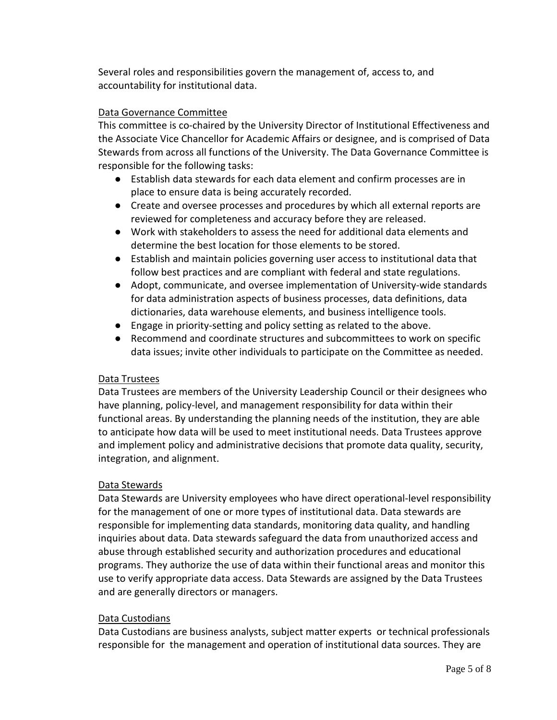Several roles and responsibilities govern the management of, access to, and accountability for institutional data.

## Data Governance Committee

This committee is co-chaired by the University Director of Institutional Effectiveness and the Associate Vice Chancellor for Academic Affairs or designee, and is comprised of Data Stewards from across all functions of the University. The Data Governance Committee is responsible for the following tasks:

- Establish data stewards for each data element and confirm processes are in place to ensure data is being accurately recorded.
- Create and oversee processes and procedures by which all external reports are reviewed for completeness and accuracy before they are released.
- Work with stakeholders to assess the need for additional data elements and determine the best location for those elements to be stored.
- Establish and maintain policies governing user access to institutional data that follow best practices and are compliant with federal and state regulations.
- Adopt, communicate, and oversee implementation of University-wide standards for data administration aspects of business processes, data definitions, data dictionaries, data warehouse elements, and business intelligence tools.
- Engage in priority-setting and policy setting as related to the above.
- Recommend and coordinate structures and subcommittees to work on specific data issues; invite other individuals to participate on the Committee as needed.

### Data Trustees

Data Trustees are members of the University Leadership Council or their designees who have planning, policy-level, and management responsibility for data within their functional areas. By understanding the planning needs of the institution, they are able to anticipate how data will be used to meet institutional needs. Data Trustees approve and implement policy and administrative decisions that promote data quality, security, integration, and alignment.

## Data Stewards

Data Stewards are University employees who have direct operational-level responsibility for the management of one or more types of institutional data. Data stewards are responsible for implementing data standards, monitoring data quality, and handling inquiries about data. Data stewards safeguard the data from unauthorized access and abuse through established security and authorization procedures and educational programs. They authorize the use of data within their functional areas and monitor this use to verify appropriate data access. Data Stewards are assigned by the Data Trustees and are generally directors or managers.

### Data Custodians

Data Custodians are business analysts, subject matter experts or technical professionals responsible for the management and operation of institutional data sources. They are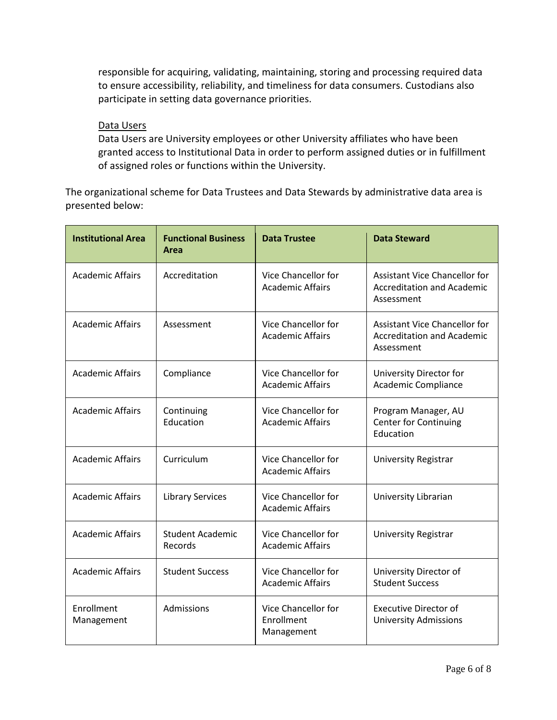responsible for acquiring, validating, maintaining, storing and processing required data to ensure accessibility, reliability, and timeliness for data consumers. Custodians also participate in setting data governance priorities.

### Data Users

Data Users are University employees or other University affiliates who have been granted access to Institutional Data in order to perform assigned duties or in fulfillment of assigned roles or functions within the University.

The organizational scheme for Data Trustees and Data Stewards by administrative data area is presented below:

| <b>Institutional Area</b> | <b>Functional Business</b><br>Area | <b>Data Trustee</b>                             | <b>Data Steward</b>                                                                     |
|---------------------------|------------------------------------|-------------------------------------------------|-----------------------------------------------------------------------------------------|
| <b>Academic Affairs</b>   | Accreditation                      | Vice Chancellor for<br><b>Academic Affairs</b>  | <b>Assistant Vice Chancellor for</b><br><b>Accreditation and Academic</b><br>Assessment |
| <b>Academic Affairs</b>   | Assessment                         | Vice Chancellor for<br><b>Academic Affairs</b>  | <b>Assistant Vice Chancellor for</b><br><b>Accreditation and Academic</b><br>Assessment |
| <b>Academic Affairs</b>   | Compliance                         | Vice Chancellor for<br><b>Academic Affairs</b>  | University Director for<br>Academic Compliance                                          |
| <b>Academic Affairs</b>   | Continuing<br>Education            | Vice Chancellor for<br><b>Academic Affairs</b>  | Program Manager, AU<br><b>Center for Continuing</b><br>Education                        |
| <b>Academic Affairs</b>   | Curriculum                         | Vice Chancellor for<br><b>Academic Affairs</b>  | <b>University Registrar</b>                                                             |
| <b>Academic Affairs</b>   | <b>Library Services</b>            | Vice Chancellor for<br><b>Academic Affairs</b>  | University Librarian                                                                    |
| <b>Academic Affairs</b>   | <b>Student Academic</b><br>Records | Vice Chancellor for<br><b>Academic Affairs</b>  | <b>University Registrar</b>                                                             |
| <b>Academic Affairs</b>   | <b>Student Success</b>             | Vice Chancellor for<br><b>Academic Affairs</b>  | University Director of<br><b>Student Success</b>                                        |
| Enrollment<br>Management  | Admissions                         | Vice Chancellor for<br>Enrollment<br>Management | <b>Executive Director of</b><br><b>University Admissions</b>                            |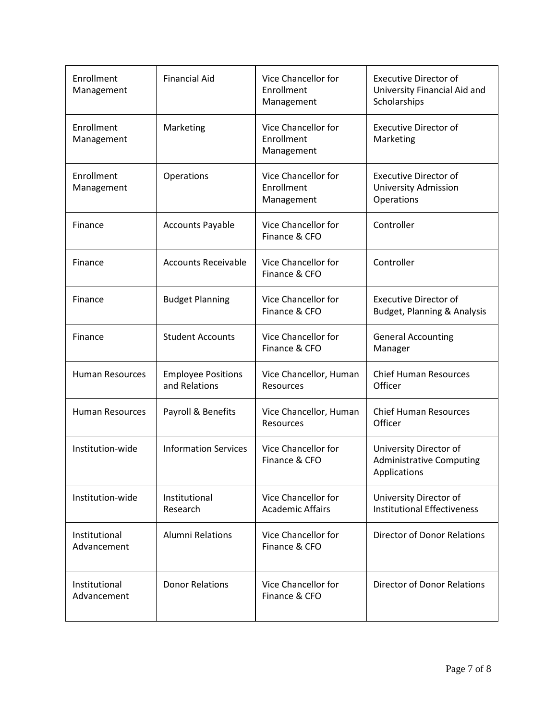| Enrollment<br>Management     | <b>Financial Aid</b>                       | Vice Chancellor for<br>Enrollment<br>Management        | <b>Executive Director of</b><br>University Financial Aid and<br>Scholarships |
|------------------------------|--------------------------------------------|--------------------------------------------------------|------------------------------------------------------------------------------|
| Enrollment<br>Management     | Marketing                                  | Vice Chancellor for<br>Enrollment<br>Management        | <b>Executive Director of</b><br>Marketing                                    |
| Enrollment<br>Management     | Operations                                 | <b>Vice Chancellor for</b><br>Enrollment<br>Management | <b>Executive Director of</b><br><b>University Admission</b><br>Operations    |
| Finance                      | <b>Accounts Payable</b>                    | Vice Chancellor for<br>Finance & CFO                   | Controller                                                                   |
| Finance                      | <b>Accounts Receivable</b>                 | Vice Chancellor for<br>Finance & CFO                   | Controller                                                                   |
| Finance                      | <b>Budget Planning</b>                     | Vice Chancellor for<br>Finance & CFO                   | <b>Executive Director of</b><br>Budget, Planning & Analysis                  |
| Finance                      | <b>Student Accounts</b>                    | Vice Chancellor for<br>Finance & CFO                   | <b>General Accounting</b><br>Manager                                         |
| <b>Human Resources</b>       | <b>Employee Positions</b><br>and Relations | Vice Chancellor, Human<br>Resources                    | <b>Chief Human Resources</b><br>Officer                                      |
| <b>Human Resources</b>       | Payroll & Benefits                         | Vice Chancellor, Human<br>Resources                    | <b>Chief Human Resources</b><br>Officer                                      |
| Institution-wide             | <b>Information Services</b>                | Vice Chancellor for<br>Finance & CFO                   | University Director of<br><b>Administrative Computing</b><br>Applications    |
| Institution-wide             | Institutional<br>Research                  | Vice Chancellor for<br><b>Academic Affairs</b>         | University Director of<br><b>Institutional Effectiveness</b>                 |
| Institutional<br>Advancement | <b>Alumni Relations</b>                    | Vice Chancellor for<br>Finance & CFO                   | <b>Director of Donor Relations</b>                                           |
| Institutional<br>Advancement | <b>Donor Relations</b>                     | <b>Vice Chancellor for</b><br>Finance & CFO            | <b>Director of Donor Relations</b>                                           |